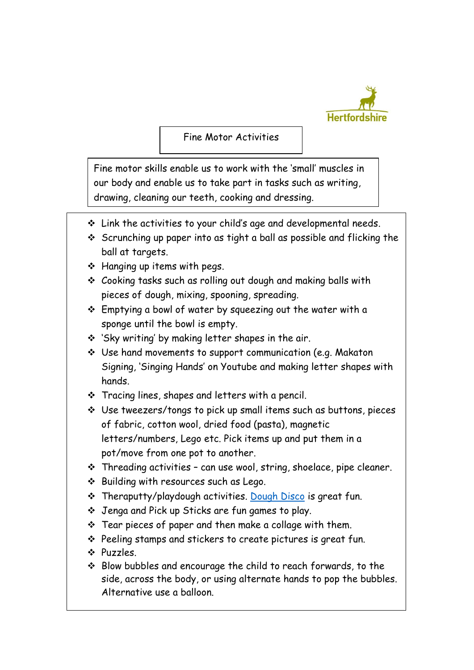

Fine Motor Activities

Fine motor skills enable us to work with the 'small' muscles in our body and enable us to take part in tasks such as writing, drawing, cleaning our teeth, cooking and dressing.

- $\cdot$  Link the activities to your child's age and developmental needs.
- $\div$  Scrunching up paper into as tight a ball as possible and flicking the ball at targets.
- $\div$  Hanging up items with pegs.
- Cooking tasks such as rolling out dough and making balls with pieces of dough, mixing, spooning, spreading.
- $\div$  Emptying a bowl of water by squeezing out the water with a sponge until the bowl is empty.
- 'Sky writing' by making letter shapes in the air.
- Use hand movements to support communication (e.g. Makaton Signing, 'Singing Hands' on Youtube and making letter shapes with hands.
- $\cdot$  Tracing lines, shapes and letters with a pencil.
- Use tweezers/tongs to pick up small items such as buttons, pieces of fabric, cotton wool, dried food (pasta), magnetic letters/numbers, Lego etc. Pick items up and put them in a pot/move from one pot to another.
- $\cdot$  Threading activities can use wool, string, shoelace, pipe cleaner.
- ❖ Building with resources such as Lego.
- \* Theraputty/playdough activities. [Dough Disco](https://www.youtube.com/watch?v=3K-CQrjI0uY) is great fun.
- Jenga and Pick up Sticks are fun games to play.
- $\cdot$  Tear pieces of paper and then make a collage with them.
- $\div$  Peeling stamps and stickers to create pictures is great fun.
- Puzzles.
- $\div$  Blow bubbles and encourage the child to reach forwards, to the side, across the body, or using alternate hands to pop the bubbles. Alternative use a balloon.